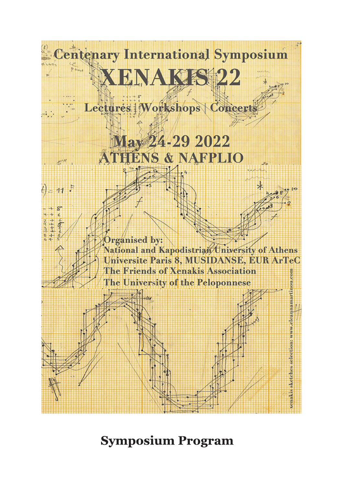

# **Symposium Program**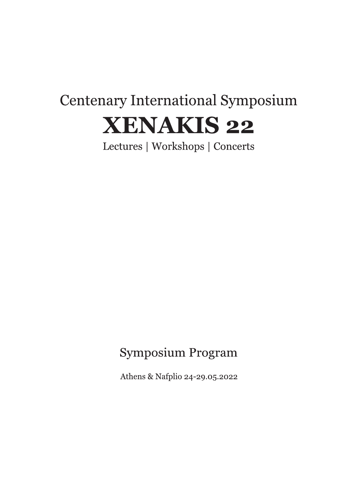# **Centenary International Symposium XENAKIS 22**

Lectures | Workshops | Concerts

# Symposium Program

Athens & Nafplio 24-29.05.2022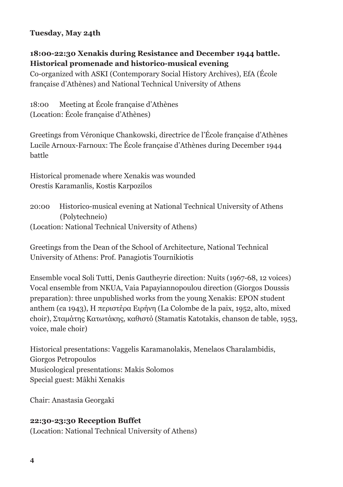# **Tuesday, May 24th**

#### **18:00-22:30 Xenakis during Resistance and December 1944 battle. Historical promenade and historico-musical evening**

Co-organized with ASKI (Contemporary Social History Archives), EfA (École française d'Athènes) and National Technical University of Athens

18:00 Meeting at École française d'Athènes (Location: École française d'Athènes)

Greetings from Véronique Chankowski, directrice de l'École française d'Athènes Lucile Arnoux-Farnoux: The École française d'Athènes during December 1944 battle

Historical promenade where Xenakis was wounded Orestis Karamanlis, Kostis Karpozilos

20:00 Historico-musical evening at National Technical University of Athens (Polytechneio) (Location: National Technical University of Athens)

Greetings from the Dean of the School of Architecture, National Technical University of Athens: Prof. Panagiotis Tournikiotis

Ensemble vocal Soli Tutti, Denis Gautheyrie direction: Nuits (1967-68, 12 voices) Vocal ensemble from NKUA, Vaia Papayiannopoulou direction (Giorgos Doussis preparation): three unpublished works from the young Xenakis: EPON student anthem (ca 1943), Η περιστέρα Ειρήνη (La Colombe de la paix, 1952, alto, mixed choir), Σταμάτης Κατωτάκης, καθιστό (Stamatis Katotakis, chanson de table, 1953, voice, male choir)

Historical presentations: Vaggelis Karamanolakis, Menelaos Charalambidis, Giorgos Petropoulos Musicological presentations: Makis Solomos Special guest: Mâkhi Xenakis

Chair: Anastasia Georgaki

#### **22:30-23:30 Reception Buffet**

(Location: National Technical University of Athens)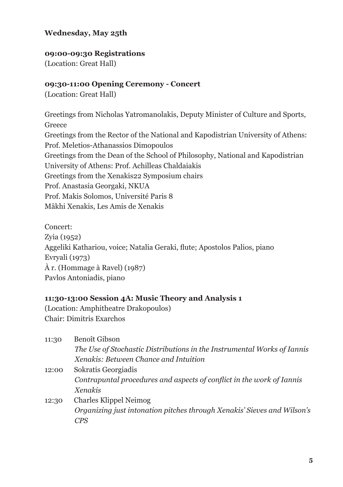# **Wednesday, May 25th**

#### **09:00-09:30 Registrations**

(Location: Great Hall)

#### **09:30-11:00 Opening Ceremony - Concert**

(Location: Great Hall)

Greetings from Nicholas Yatromanolakis, Deputy Minister of Culture and Sports, Greece Greetings from the Rector of the National and Kapodistrian University of Athens: Prof. Meletios-Athanassios Dimopoulos Greetings from the Dean of the School of Philosophy, National and Kapodistrian University of Athens: Prof. Achilleas Chaldaiakis Greetings from the Xenakis22 Symposium chairs Prof. Anastasia Georgaki, NKUA Prof. Makis Solomos, Université Paris 8 Mâkhi Xenakis, Les Amis de Xenakis

Concert: Zyia (1952) Aggeliki Kathariou, voice; Natalia Geraki, flute; Apostolos Palios, piano Evryali (1973) À r. (Hommage à Ravel) (1987) Pavlos Antoniadis, piano

#### **11:30-13:00 Session 4A: Music Theory and Analysis 1**

(Location: Amphitheatre Drakopoulos) Chair: Dimitris Exarchos

| 11:30 | Benoît Gibson                                                           |
|-------|-------------------------------------------------------------------------|
|       | The Use of Stochastic Distributions in the Instrumental Works of Iannis |
|       | Xenakis: Between Chance and Intuition                                   |
| 12:00 | Sokratis Georgiadis                                                     |
|       | Contrapuntal procedures and aspects of conflict in the work of Iannis   |
|       | <b>Xenakis</b>                                                          |
| 12:30 | Charles Klippel Neimog                                                  |
|       | Organizing just intonation pitches through Xenakis' Sieves and Wilson's |
|       | CPS                                                                     |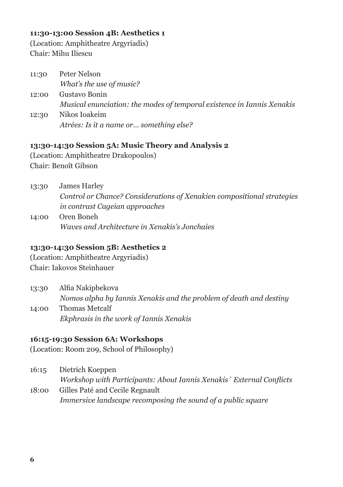#### **11:30-13:00 Session 4B: Aesthetics 1**

(Location: Amphitheatre Argyriadis) Chair: Mihu Iliescu

| 11:30 | Peter Nelson                                                           |
|-------|------------------------------------------------------------------------|
|       | What's the use of music?                                               |
| 12:00 | Gustavo Bonin                                                          |
|       | Musical enunciation: the modes of temporal existence in Iannis Xenakis |
| 12:30 | Nikos Ioakeim                                                          |
|       | Atrées: Is it a name or  something else?                               |

#### **13:30-14:30 Session 5A: Music Theory and Analysis 2**

(Location: Amphitheatre Drakopoulos) Chair: Benoît Gibson

| 13:30 | James Harley                                                           |
|-------|------------------------------------------------------------------------|
|       | Control or Chance? Considerations of Xenakien compositional strategies |
|       | in contrast Cageian approaches                                         |
| 14:00 | Oren Boneh                                                             |
|       | Waves and Architecture in Xenakis's Jonchaies                          |

#### **13:30-14:30 Session 5B: Aesthetics 2**

(Location: Amphitheatre Argyriadis) Chair: Iakovos Steinhauer

13:30 Alfia Nakipbekova *Nomos alpha by Iannis Xenakis and the problem of death and destiny* 14:00 Thomas Metcalf

*Ekphrasis in the work of Iannis Xenakis*

# **16:15-19:30 Session 6A: Workshops**

(Location: Room 209, School of Philosophy)

- 16:15 Dietrich Koeppen *Workshop with Participants: About Iannis Xenakis´ External Conflicts*
- 18:00 Gilles Paté and Cecile Regnault *Immersive landscape recomposing the sound of a public square*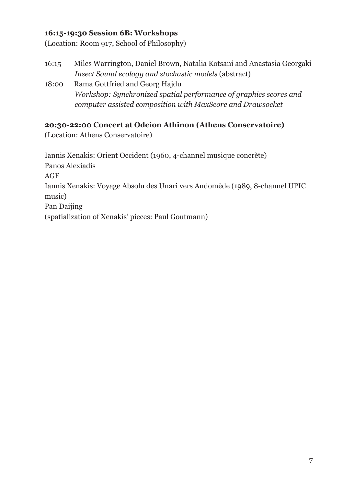### **16:15-19:30 Session 6B: Workshops**

(Location: Room 917, School of Philosophy)

- 16:15 Miles Warrington, Daniel Brown, Natalia Kotsani and Anastasia Georgaki *Insect Sound ecology and stochastic models* (abstract)
- 18:00 Rama Gottfried and Georg Hajdu *Workshop: Synchronized spatial performance of graphics scores and computer assisted composition with MaxScore and Drawsocket*

# **20:30-22:00 Concert at Odeion Athinon (Athens Conservatoire)**

(Location: Athens Conservatoire)

Iannis Xenakis: Orient Occident (1960, 4-channel musique concrète) Panos Alexiadis AGF Iannis Xenakis: Voyage Absolu des Unari vers Andomède (1989, 8-channel UPIC music) Pan Daijing (spatialization of Xenakis' pieces: Paul Goutmann)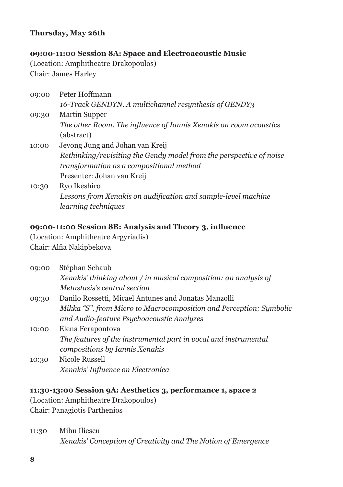### **Thursday, May 26th**

#### **09:00-11:00 Session 8A: Space and Electroacoustic Music**

(Location: Amphitheatre Drakopoulos) Chair: James Harley

| 09:00 | Peter Hoffmann                                                      |
|-------|---------------------------------------------------------------------|
|       | 16-Track GENDYN, A multichannel resynthesis of GENDY3               |
| 09:30 | Martin Supper                                                       |
|       | The other Room. The influence of Iannis Xenakis on room acoustics   |
|       | (abstract)                                                          |
| 10:00 | Jeyong Jung and Johan van Kreij                                     |
|       | Rethinking/revisiting the Gendy model from the perspective of noise |
|       | transformation as a compositional method                            |
|       | Presenter: Johan van Kreij                                          |
| 10:30 | Ryo Ikeshiro                                                        |
|       | Lessons from Xenakis on audification and sample-level machine       |

*learning techniques*

#### **09:00-11:00 Session 8B: Analysis and Theory 3, influence**

(Location: Amphitheatre Argyriadis) Chair: Alfia Nakipbekova

| 09:00 | Stéphan Schaub                                                     |
|-------|--------------------------------------------------------------------|
|       | Xenakis' thinking about / in musical composition: an analysis of   |
|       | Metastasis's central section                                       |
| 09:30 | Danilo Rossetti, Micael Antunes and Jonatas Manzolli               |
|       | Mikka "S", from Micro to Macrocomposition and Perception: Symbolic |
|       | and Audio-feature Psychoacoustic Analyzes                          |
| 10:00 | Elena Ferapontova                                                  |
|       | The features of the instrumental part in vocal and instrumental    |
|       | compositions by Iannis Xenakis                                     |
| 10:30 | Nicole Russell                                                     |
|       | Xenakis' Influence on Electronica                                  |

### **11:30-13:00 Session 9A: Aesthetics 3, performance 1, space 2**

(Location: Amphitheatre Drakopoulos) Chair: Panagiotis Parthenios

11:30 Mihu Iliescu *Xenakis' Conception of Creativity and The Notion of Emergence*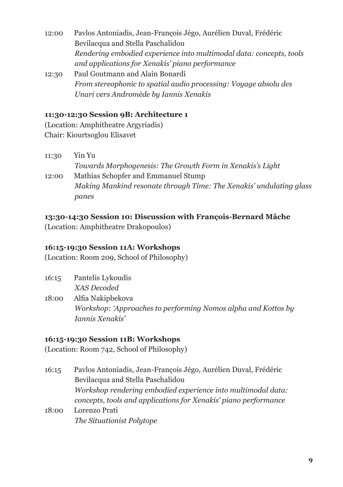12:00 Pavlos Antoniadis, Jean-François Jégo, Aurélien Duval, Frédéric Bevilacqua and Stella Paschalidou *Rendering embodied experience into multimodal data: concepts, tools and applications for Xenakis' piano performance* 12:30 Paul Goutmann and Alain Bonardi *From stereophonic to spatial audio processing: Voyage absolu des* 

# **11:30-12:30 Session 9B: Architecture 1**

*Unari vers Andromède by Iannis Xenakis*

(Location: Amphitheatre Argyriadis) Chair: Kiourtsoglou Elisavet

| 11:30 | Yin Yu                                                              |
|-------|---------------------------------------------------------------------|
|       | Towards Morphogenesis: The Growth Form in Xenakis's Light           |
| 12:00 | Mathias Schopfer and Emmanuel Stump                                 |
|       | Making Mankind resonate through Time: The Xenakis' undulating glass |
|       | panes                                                               |

#### **13:30-14:30 Session 10: Discussion with François-Bernard Mâche**

(Location: Amphitheatre Drakopoulos)

#### **16:15-19:30 Session 11A: Workshops**

(Location: Room 209, School of Philosophy)

| 16:15 | Pantelis Lykoudis |
|-------|-------------------|
|       | XAS Decoded       |

18:00 Alfia Nakipbekova *Workshop: 'Approaches to performing Nomos alpha and Kottos by Iannis Xenakis'*

#### **16:15-19:30 Session 11B: Workshops**

(Location: Room 742, School of Philosophy)

- 16:15 Pavlos Antoniadis, Jean-François Jégo, Aurélien Duval, Frédéric Bevilacqua and Stella Paschalidou *Workshop rendering embodied experience into multimodal data: concepts, tools and applications for Xenakis' piano performance*
- 18:00 Lorenzo Prati *The Situationist Polytope*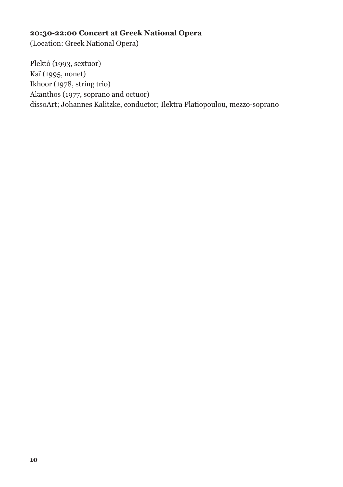# **20:30-22:00 Concert at Greek National Opera**

(Location: Greek National Opera)

Plektó (1993, sextuor) Kaï (1995, nonet) Ikhoor (1978, string trio) Akanthos (1977, soprano and octuor) dissoArt; Johannes Kalitzke, conductor; Ilektra Platiopoulou, mezzo-soprano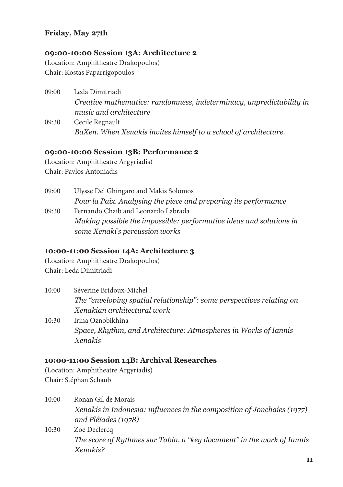# **Friday, May 27th**

#### **09:00-10:00 Session 13A: Architecture 2**

(Location: Amphitheatre Drakopoulos) Chair: Kostas Paparrigopoulos

- 09:00 Leda Dimitriadi *Creative mathematics: randomness, indeterminacy, unpredictability in music and architecture* 09:30 Cecile Regnault
	- *BaXen. When Xenakis invites himself to a school of architecture.*

#### **09:00-10:00 Session 13B: Performance 2**

(Location: Amphitheatre Argyriadis) Chair: Pavlos Antoniadis

09:00 Ulysse Del Ghingaro and Makis Solomos *Pour la Paix. Analysing the piece and preparing its performance* 09:30 Fernando Chaib and Leonardo Labrada *Making possible the impossible: performative ideas and solutions in some Xenaki's percussion works*

# **10:00-11:00 Session 14A: Architecture 3**

(Location: Amphitheatre Drakopoulos) Chair: Leda Dimitriadi

- 10:00 Séverine Bridoux-Michel *The "enveloping spatial relationship": some perspectives relating on Xenakian architectural work*
- 10:30 Irina Oznobikhina *Space, Rhythm, and Architecture: Atmospheres in Works of Iannis Xenakis*

#### **10:00-11:00 Session 14B: Archival Researches**

(Location: Amphitheatre Argyriadis) Chair: Stéphan Schaub

*Xenakis?*

10:00 Ronan Gil de Morais *Xenakis in Indonesia: influences in the composition of Jonchaies (1977) and Pléïades (1978)* 10:30 Zoé Declercq *The score of Rythmes sur Tabla, a "key document" in the work of Iannis* 

**11**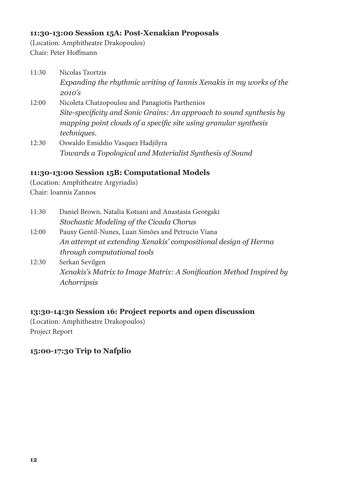#### **11:30-13:00 Session 15A: Post-Xenakian Proposals**

(Location: Amphitheatre Drakopoulos) Chair: Peter Hoffmann

| 11:30 | Nicolas Tzortzis                                                     |
|-------|----------------------------------------------------------------------|
|       | Expanding the rhythmic writing of Iannis Xenakis in my works of the  |
|       | 2010's                                                               |
| 12:00 | Nicoleta Chatzopoulou and Panagiotis Parthenios                      |
|       | Site-specificity and Sonic Grains: An approach to sound synthesis by |
|       | mapping point clouds of a specific site using granular synthesis     |
|       | techniques.                                                          |
| 12:30 | Oswaldo Emiddio Vasquez Hadjilyra                                    |
|       | Towards a Topological and Materialist Synthesis of Sound             |

#### **11:30-13:00 Session 15B: Computational Models**

(Location: Amphitheatre Argyriadis) Chair: Ioannis Zannos

- 11:30 Daniel Brown, Natalia Kotsani and Anastasia Georgaki *Stochastic Modeling of the Cicada Chorus*
- 12:00 Pauxy Gentil-Nunes, Luan Simões and Petrucio Viana *An attempt at extending Xenakis' compositional design of Herma through computational tools*
- 12:30 Serkan Sevilgen *Xenakis's Matrix to Image Matrix: A Sonification Method Inspired by Achorripsis*

# **13:30-14:30 Session 16: Project reports and open discussion**

(Location: Amphitheatre Drakopoulos) Project Report

#### **15:00-17:30 Trip to Nafplio**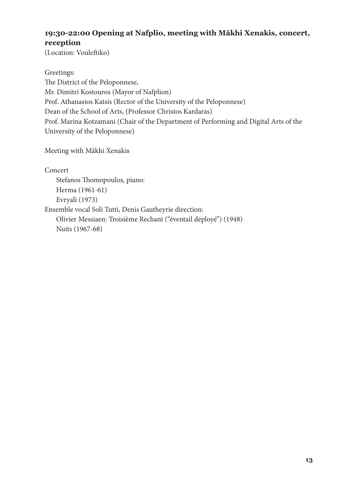# **19:30-22:00 Opening at Nafplio, meeting with Mâkhi Xenakis, concert, reception**

(Location: Vouleftiko)

Greetings: The District of the Peloponnese, Mr. Dimitri Kostouros (Mayor of Nafplion) Prof. Athanasios Katsis (Rector of the University of the Peloponnese) Dean of the School of Arts, (Professor Christos Kardaras) Prof. Marina Kotzamani (Chair of the Department of Performing and Digital Arts of the University of the Peloponnese)

Meeting with Mâkhi Xenakis

Concert

Stefanos Thomopoulos, piano: Herma (1961-61) Evryali (1973)

Ensemble vocal Soli Tutti, Denis Gautheyrie direction:

Olivier Messiaen: Troisième Rechant ("éventail déployé") (1948) Nuits (1967-68)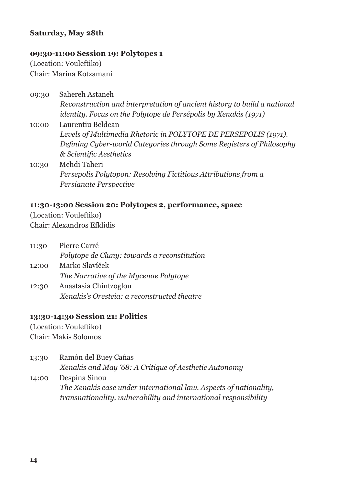#### **Saturday, May 28th**

#### **09:30-11:00 Session 19: Polytopes 1**

(Location: Vouleftiko) Chair: Marina Kotzamani

- 09:30 Sahereh Astaneh *Reconstruction and interpretation of ancient history to build a national identity. Focus on the Polytope de Persépolis by Xenakis (1971)*
- 10:00 Laurentiu Beldean *Levels of Multimedia Rhetoric in POLYTOPE DE PERSEPOLIS (1971). Defining Cyber-world Categories through Some Registers of Philosophy & Scientific Aesthetics*
- 10:30 Mehdi Taheri *Persepolis Polytopon: Resolving Fictitious Attributions from a Persianate Perspective*

#### **11:30-13:00 Session 20: Polytopes 2, performance, space**

(Location: Vouleftiko) Chair: Alexandros Efklidis

- 11:30 Pierre Carré *Polytope de Cluny: towards a reconstitution* 12:00 Marko Slavíček *The Narrative of the Mycenae Polytope*
- 12:30 Anastasia Chintzoglou *Xenakis's Oresteia: a reconstructed theatre*

#### **13:30-14:30 Session 21: Politics**

(Location: Vouleftiko) Chair: Makis Solomos

13:30 Ramón del Buey Cañas *Xenakis and May '68: A Critique of Aesthetic Autonomy* 14:00 Despina Sinou

*The Xenakis case under international law. Aspects of nationality, transnationality, vulnerability and international responsibility*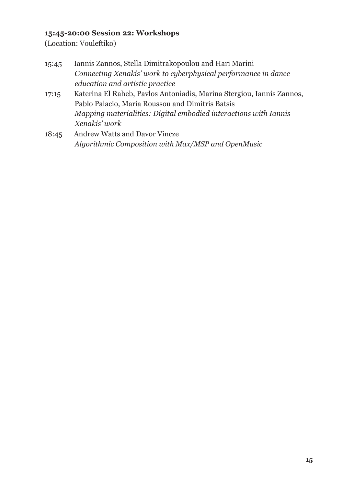# **15:45-20:00 Session 22: Workshops**

(Location: Vouleftiko)

| 15:45 | Iannis Zannos, Stella Dimitrakopoulou and Hari Marini          |
|-------|----------------------------------------------------------------|
|       | Connecting Xenakis' work to cyberphysical performance in dance |
|       | education and artistic practice                                |

- 17:15 Katerina El Raheb, Pavlos Antoniadis, Marina Stergiou, Iannis Zannos, Pablo Palacio, Maria Roussou and Dimitris Batsis *Mapping materialities: Digital embodied interactions with Iannis Xenakis' work*
- 18:45 Andrew Watts and Davor Vincze *Algorithmic Composition with Max/MSP and OpenMusic*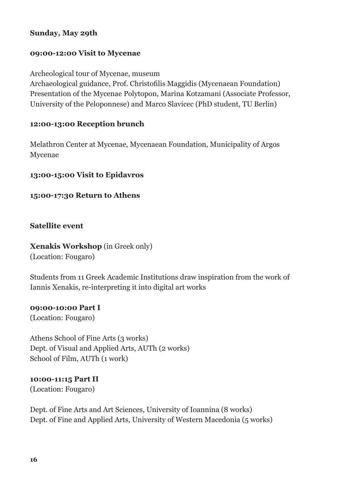#### **Sunday, May 29th**

#### **09:00-12:00 Visit to Mycenae**

Archeological tour of Mycenae, museum Αrchaeological guidance, Prof. Christofilis Maggidis (Mycenaean Foundation) Presentation of the Mycenae Polytopon, Marina Kotzamani (Αssociate Professor, University of the Peloponnese) and Marco Slavicec (PhD student, TU Berlin)

#### **12:00-13:00 Reception brunch**

Melathron Center at Mycenae, Mycenaean Foundation, Municipality of Argos Mycenae

#### **13:00-15:00 Visit to Epidavros**

#### **15:00-17:30 Return to Athens**

**Satellite event**

# **Xenakis Workshop** (in Greek only)

(Location: Fougaro)

Students from 11 Greek Academic Institutions draw inspiration from the work of Iannis Xenakis, re-interpreting it into digital art works

# **09:00-10:00 Part I**

(Location: Fougaro)

Athens School of Fine Arts (3 works) Dept. of Visual and Applied Arts, AUTh (2 works) School of Film, AUTh (1 work)

# **10:00-11:15 Part II**

(Location: Fougaro)

Dept. of Fine Arts and Art Sciences, University of Ioannina (8 works) Dept. of Fine and Applied Arts, University of Western Macedonia (5 works)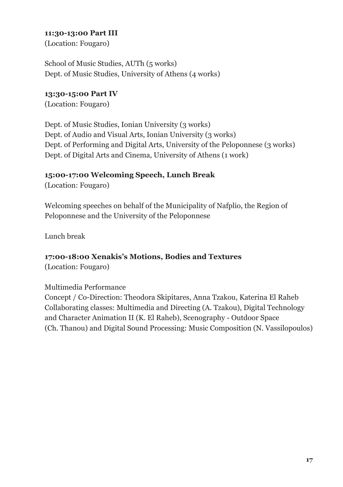#### **11:30-13:00 Part III**

(Location: Fougaro)

School of Music Studies, AUTh (5 works) Dept. of Music Studies, University of Athens (4 works)

### **13:30-15:00 Part IV**

(Location: Fougaro)

Dept. of Music Studies, Ionian University (3 works) Dept. of Audio and Visual Arts, Ionian University (3 works) Dept. of Performing and Digital Arts, University of the Peloponnese (3 works) Dept. of Digital Arts and Cinema, University of Athens (1 work)

# **15:00-17:00 Welcoming Speech, Lunch Break**

(Location: Fougaro)

Welcoming speeches on behalf of the Municipality of Nafplio, the Region of Peloponnese and the University of the Peloponnese

Lunch break

# **17:00-18:00 Xenakis's Motions, Bodies and Textures**

(Location: Fougaro)

#### Multimedia Performance

Concept / Co-Direction: Theodora Skipitares, Anna Tzakou, Katerina El Raheb Collaborating classes: Multimedia and Directing (A. Tzakou), Digital Technology and Character Animation II (K. El Raheb), Scenography - Outdoor Space (Ch. Thanou) and Digital Sound Processing: Music Composition (N. Vassilopoulos)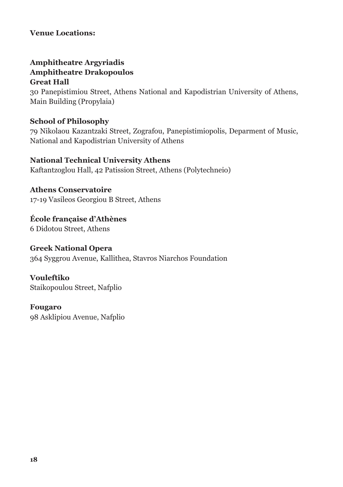#### **Venue Locations:**

# **Amphitheatre Argyriadis Amphitheatre Drakopoulos Great Hall**

30 Panepistimiou Street, Athens National and Kapodistrian University of Athens, Main Building (Propylaia)

#### **School of Philosophy**

79 Nikolaou Kazantzaki Street, Zografou, Panepistimiopolis, Deparment of Music, National and Kapodistrian University of Athens

# **National Technical University Athens**

Kaftantzoglou Hall, 42 Patission Street, Athens (Polytechneio)

# **Athens Conservatoire**

17-19 Vasileos Georgiou B Street, Athens

**École française d'Athènes** 6 Didotou Street, Athens

#### **Greek National Opera**

364 Syggrou Avenue, Kallithea, Stavros Niarchos Foundation

**Vouleftiko** Staikopoulou Street, Nafplio

**Fougaro** 98 Asklipiou Avenue, Nafplio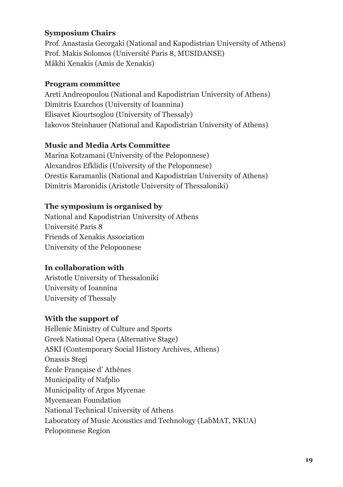# **Symposium Chairs**

Prof. Anastasia Georgaki (National and Kapodistrian University of Athens) Prof. Makis Solomos (Université Paris 8, MUSIDANSΕ) Mâkhi Xenakis (Amis de Xenakis)

### **Program committee**

Areti Andreopoulou (National and Kapodistrian University of Athens) Dimitris Exarchos (University of Ioannina) Elisavet Kiourtsoglou (University of Thessaly) Iakovos Steinhauer (National and Kapodistrian University of Athens)

# **Music and Media Arts Committee**

Marina Kotzamani (University of the Peloponnese) Alexandros Efklidis (University of the Peloponnese) Orestis Karamanlis (National and Kapodistrian University of Athens) Dimitris Maronidis (Aristotle University of Thessaloniki)

# **The symposium is organised by**

National and Kapodistrian University of Athens Université Paris 8 Friends of Xenakis Association University of the Peloponnese

# **In collaboration with**

Aristotle University of Thessaloniki University of Ioannina University of Thessaly

# **With the support of**

Hellenic Ministry of Culture and Sports Greek National Opera (Alternative Stage) ASKI (Contemporary Social History Archives, Athens) Onassis Stegi École Française d' Athènes Municipality of Nafplio Municipality of Argos Mycenae Mycenaean Foundation National Technical University of Athens Laboratory of Music Acoustics and Technology (LabMAT, NKUA) Peloponnese Region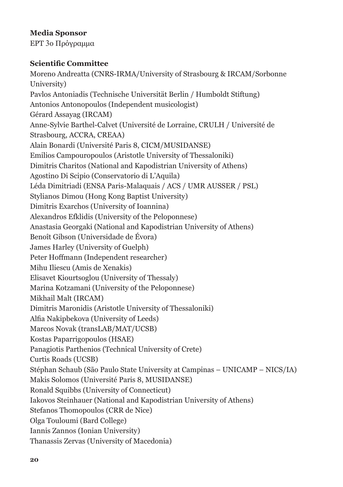# **Media Sponsor**

ΕΡΤ 3ο Πρόγραμμα

#### **Scientific Committee**

Moreno Andreatta (CNRS-IRMA/University of Strasbourg & IRCAM/Sorbonne University) Pavlos Antoniadis (Technische Universität Berlin / Humboldt Stiftung) Antonios Antonopoulos (Independent musicologist) Gérard Assayag (IRCAM) Anne-Sylvie Barthel-Calvet (Université de Lorraine, CRULH / Université de Strasbourg, ACCRA, CREAA) Alain Bonardi (Université Paris 8, CICM/MUSIDANSE) Emilios Campouropoulos (Aristotle University of Thessaloniki) Dimitris Charitos (National and Kapodistrian University of Athens) Agostino Di Scipio (Conservatorio di L'Aquila) Léda Dimitriadi (ENSA Paris-Malaquais / ACS / UMR AUSSER / PSL) Stylianos Dimou (Hong Kong Baptist University) Dimitris Exarchos (University of Ioannina) Alexandros Efklidis (University of the Peloponnese) Anastasia Georgaki (National and Kapodistrian University of Athens) Benoît Gibson (Universidade de Évora) James Harley (University of Guelph) Peter Hoffmann (Independent researcher) Mihu Iliescu (Amis de Xenakis) Elisavet Kiourtsoglou (University of Thessaly) Marina Kotzamani (University of the Peloponnese) Mikhail Malt (IRCAM) Dimitris Maronidis (Aristotle University of Thessaloniki) Alfia Nakipbekova (University of Leeds) Marcos Novak (transLAB/MAT/UCSB) Kostas Paparrigopoulos (HSAE) Panagiotis Parthenios (Technical University of Crete) Curtis Roads (UCSB) Stéphan Schaub (São Paulo State University at Campinas – UNICAMP – NICS/IA) Makis Solomos (Université Paris 8, MUSIDANSE) Ronald Squibbs (University of Connecticut) Iakovos Steinhauer (National and Kapodistrian University of Athens) Stefanos Thomopoulos (CRR de Nice) Olga Touloumi (Bard College) Iannis Zannos (Ionian University) Thanassis Zervas (University of Macedonia)